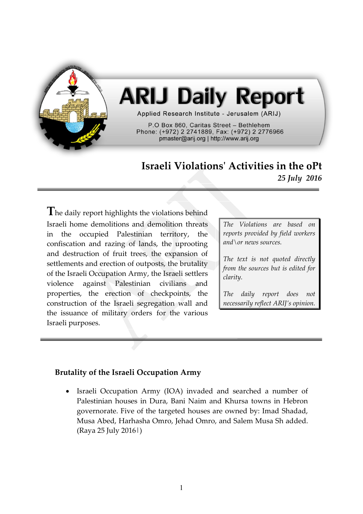

# **ARIJ Daily Report**

Applied Research Institute - Jerusalem (ARIJ)

P.O Box 860. Caritas Street - Bethlehem Phone: (+972) 2 2741889, Fax: (+972) 2 2776966 pmaster@arij.org | http://www.arij.org

## **Israeli Violations' Activities in the oPt** *25 July 2016*

The daily report highlights the violations behind Israeli home demolitions and demolition threats in the occupied Palestinian territory, the confiscation and razing of lands, the uprooting and destruction of fruit trees, the expansion of settlements and erection of outposts, the brutality of the Israeli Occupation Army, the Israeli settlers violence against Palestinian civilians and properties, the erection of checkpoints, the construction of the Israeli segregation wall and the issuance of military orders for the various Israeli purposes.

*The Violations are based on reports provided by field workers and\or news sources.*

*The text is not quoted directly from the sources but is edited for clarity.*

*The daily report does not necessarily reflect ARIJ's opinion.*

#### **Brutality of the Israeli Occupation Army**

 Israeli Occupation Army (IOA) invaded and searched a number of Palestinian houses in Dura, Bani Naim and Khursa towns in Hebron governorate. Five of the targeted houses are owned by: Imad Shadad, Musa Abed, Harhasha Omro, Jehad Omro, and Salem Musa Sh added. (Raya 25 July 2016|)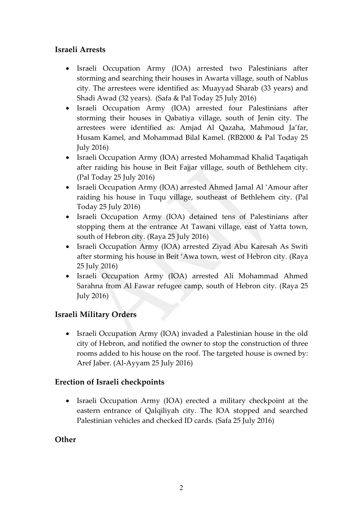#### **Israeli Arrests**

- Israeli Occupation Army (IOA) arrested two Palestinians after storming and searching their houses in Awarta village, south of Nablus city. The arrestees were identified as: Muayyad Sharab (33 years) and Shadi Awad (32 years). (Safa & Pal Today 25 July 2016)
- Israeli Occupation Army (IOA) arrested four Palestinians after storming their houses in Qabatiya village, south of Jenin city. The arrestees were identified as: Amjad Al Qazaha, Mahmoud Ja'far, Husam Kamel, and Mohammad Bilal Kamel. (RB2000 & Pal Today 25 July 2016)
- Israeli Occupation Army (IOA) arrested Mohammad Khalid Taqatiqah after raiding his house in Beit Fajjar village, south of Bethlehem city. (Pal Today 25 July 2016)
- Israeli Occupation Army (IOA) arrested Ahmed Jamal Al 'Amour after raiding his house in Tuqu village, southeast of Bethlehem city. (Pal Today 25 July 2016)
- Israeli Occupation Army (IOA) detained tens of Palestinians after stopping them at the entrance At Tawani village, east of Yatta town, south of Hebron city. (Raya 25 July 2016)
- Israeli Occupation Army (IOA) arrested Ziyad Abu Karesah As Switi after storming his house in Beit 'Awa town, west of Hebron city. (Raya 25 July 2016)
- Israeli Occupation Army (IOA) arrested Ali Mohammad Ahmed Sarahna from Al Fawar refugee camp, south of Hebron city. (Raya 25 July 2016)

### **Israeli Military Orders**

• Israeli Occupation Army (IOA) invaded a Palestinian house in the old city of Hebron, and notified the owner to stop the construction of three rooms added to his house on the roof. The targeted house is owned by: Aref Jaber. (Al-Ayyam 25 July 2016)

#### **Erection of Israeli checkpoints**

• Israeli Occupation Army (IOA) erected a military checkpoint at the eastern entrance of Qalqiliyah city. The IOA stopped and searched Palestinian vehicles and checked ID cards. (Safa 25 July 2016)

#### **Other**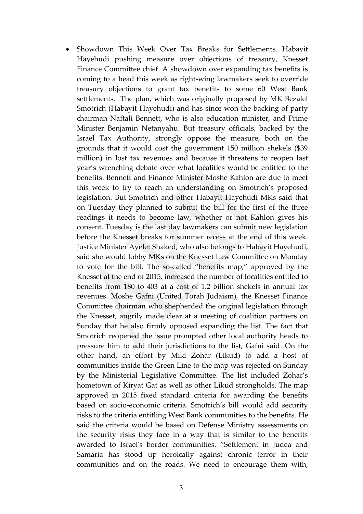Showdown This Week Over Tax Breaks for Settlements. Habayit Hayehudi pushing measure over objections of treasury, Knesset Finance Committee chief. A showdown over expanding tax benefits is coming to a head this week as right-wing lawmakers seek to override treasury objections to grant tax benefits to some 60 West Bank settlements. The plan, which was originally proposed by MK Bezalel Smotrich (Habayit Hayehudi) and has since won the backing of party chairman Naftali Bennett, who is also education minister, and Prime Minister Benjamin Netanyahu. But treasury officials, backed by the Israel Tax Authority, strongly oppose the measure, both on the grounds that it would cost the government 150 million shekels (\$39 million) in lost tax revenues and because it threatens to reopen last year's wrenching debate over what localities would be entitled to the benefits. Bennett and Finance Minister Moshe Kahlon are due to meet this week to try to reach an understanding on Smotrich's proposed legislation. But Smotrich and other Habayit Hayehudi MKs said that on Tuesday they planned to submit the bill for the first of the three readings it needs to become law, whether or not Kahlon gives his consent. Tuesday is the last day lawmakers can submit new legislation before the Knesset breaks for summer recess at the end of this week. Justice Minister Ayelet Shaked, who also belongs to Habayit Hayehudi, said she would lobby MKs on the Knesset Law Committee on Monday to vote for the bill. The so-called "benefits map," approved by the Knesset at the end of 2015, increased the number of localities entitled to benefits from 180 to 403 at a cost of 1.2 billion shekels in annual tax revenues. Moshe Gafni (United Torah Judaism), the Knesset Finance Committee chairman who shepherded the original legislation through the Knesset, angrily made clear at a meeting of coalition partners on Sunday that he also firmly opposed expanding the list. The fact that Smotrich reopened the issue prompted other local authority heads to pressure him to add their jurisdictions to the list, Gafni said. On the other hand, an effort by Miki Zohar (Likud) to add a host of communities inside the Green Line to the map was rejected on Sunday by the Ministerial Legislative Committee. The list included Zohar's hometown of Kiryat Gat as well as other Likud strongholds. The map approved in 2015 fixed standard criteria for awarding the benefits based on socio-economic criteria. Smotrich's bill would add security risks to the criteria entitling West Bank communities to the benefits. He said the criteria would be based on Defense Ministry assessments on the security risks they face in a way that is similar to the benefits awarded to Israel's border communities. "Settlement in Judea and Samaria has stood up heroically against chronic terror in their communities and on the roads. We need to encourage them with,